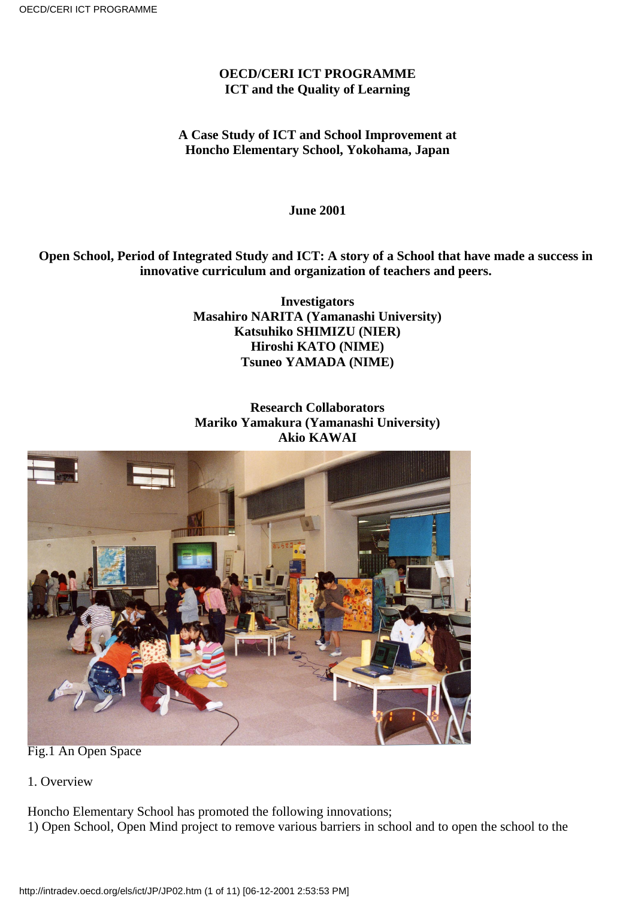### **OECD/CERI ICT PROGRAMME ICT and the Quality of Learning**

### **A Case Study of ICT and School Improvement at Honcho Elementary School, Yokohama, Japan**

**June 2001**

#### **Open School, Period of Integrated Study and ICT: A story of a School that have made a success in innovative curriculum and organization of teachers and peers.**

**Investigators Masahiro NARITA (Yamanashi University) Katsuhiko SHIMIZU (NIER) Hiroshi KATO (NIME) Tsuneo YAMADA (NIME)**

# **Research Collaborators Mariko Yamakura (Yamanashi University) Akio KAWAI**



Fig.1 An Open Space

1. Overview

Honcho Elementary School has promoted the following innovations;

1) Open School, Open Mind project to remove various barriers in school and to open the school to the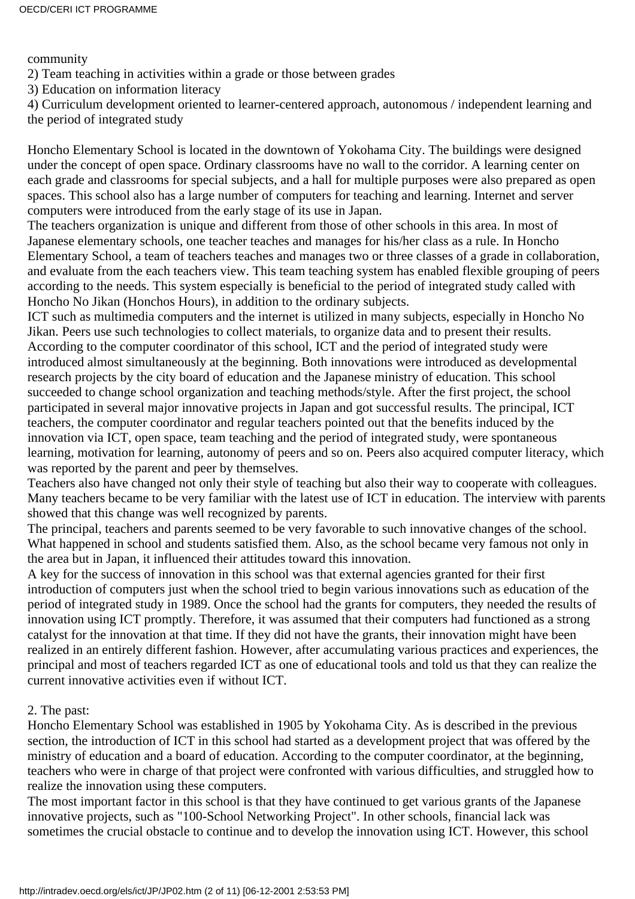community

- 2) Team teaching in activities within a grade or those between grades
- 3) Education on information literacy

4) Curriculum development oriented to learner-centered approach, autonomous / independent learning and the period of integrated study

Honcho Elementary School is located in the downtown of Yokohama City. The buildings were designed under the concept of open space. Ordinary classrooms have no wall to the corridor. A learning center on each grade and classrooms for special subjects, and a hall for multiple purposes were also prepared as open spaces. This school also has a large number of computers for teaching and learning. Internet and server computers were introduced from the early stage of its use in Japan.

The teachers organization is unique and different from those of other schools in this area. In most of Japanese elementary schools, one teacher teaches and manages for his/her class as a rule. In Honcho Elementary School, a team of teachers teaches and manages two or three classes of a grade in collaboration, and evaluate from the each teacher s view. This team teaching system has enabled flexible grouping of peers according to the needs. This system especially is beneficial to the period of integrated study called with Honcho No Jikan (Honchos Hours), in addition to the ordinary subjects.

ICT such as multimedia computers and the internet is utilized in many subjects, especially in Honcho No Jikan. Peers use such technologies to collect materials, to organize data and to present their results. According to the computer coordinator of this school, ICT and the period of integrated study were introduced almost simultaneously at the beginning. Both innovations were introduced as developmental research projects by the city board of education and the Japanese ministry of education. This school succeeded to change school organization and teaching methods/style. After the first project, the school participated in several major innovative projects in Japan and got successful results. The principal, ICT teachers, the computer coordinator and regular teachers pointed out that the benefits induced by the innovation via ICT, open space, team teaching and the period of integrated study, were spontaneous learning, motivation for learning, autonomy of peers and so on. Peers also acquired computer literacy, which was reported by the parent and peer by themselves.

Teachers also have changed not only their style of teaching but also their way to cooperate with colleagues. Many teachers became to be very familiar with the latest use of ICT in education. The interview with parents showed that this change was well recognized by parents.

The principal, teachers and parents seemed to be very favorable to such innovative changes of the school. What happened in school and students satisfied them. Also, as the school became very famous not only in the area but in Japan, it influenced their attitudes toward this innovation.

A key for the success of innovation in this school was that external agencies granted for their first introduction of computers just when the school tried to begin various innovations such as education of the period of integrated study in 1989. Once the school had the grants for computers, they needed the results of innovation using ICT promptly. Therefore, it was assumed that their computers had functioned as a strong catalyst for the innovation at that time. If they did not have the grants, their innovation might have been realized in an entirely different fashion. However, after accumulating various practices and experiences, the principal and most of teachers regarded ICT as one of educational tools and told us that they can realize the current innovative activities even if without ICT.

# 2. The past:

Honcho Elementary School was established in 1905 by Yokohama City. As is described in the previous section, the introduction of ICT in this school had started as a development project that was offered by the ministry of education and a board of education. According to the computer coordinator, at the beginning, teachers who were in charge of that project were confronted with various difficulties, and struggled how to realize the innovation using these computers.

The most important factor in this school is that they have continued to get various grants of the Japanese innovative projects, such as "100-School Networking Project". In other schools, financial lack was sometimes the crucial obstacle to continue and to develop the innovation using ICT. However, this school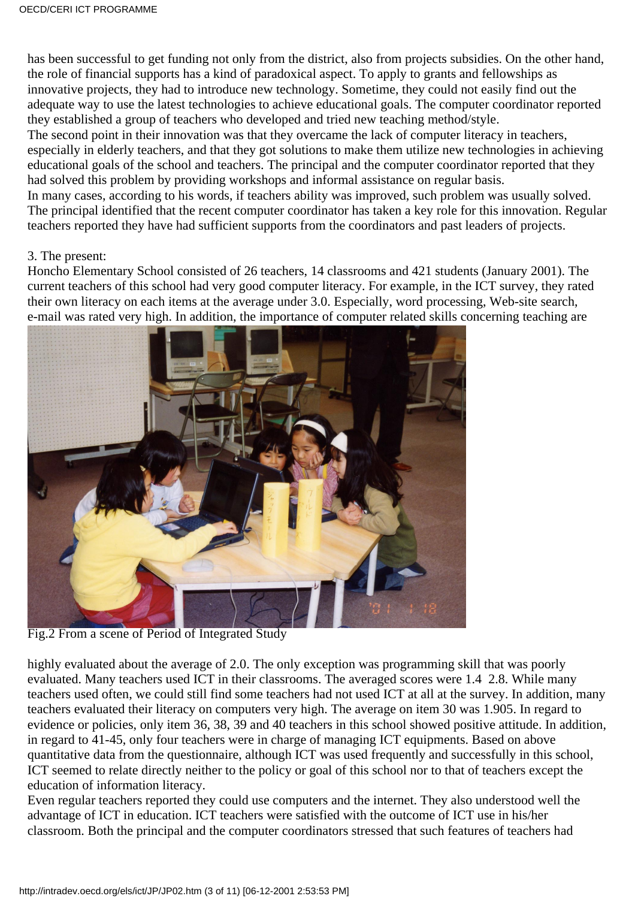has been successful to get funding not only from the district, also from projects subsidies. On the other hand, the role of financial supports has a kind of paradoxical aspect. To apply to grants and fellowships as innovative projects, they had to introduce new technology. Sometime, they could not easily find out the adequate way to use the latest technologies to achieve educational goals. The computer coordinator reported they established a group of teachers who developed and tried new teaching method/style.

The second point in their innovation was that they overcame the lack of computer literacy in teachers, especially in elderly teachers, and that they got solutions to make them utilize new technologies in achieving educational goals of the school and teachers. The principal and the computer coordinator reported that they had solved this problem by providing workshops and informal assistance on regular basis.

In many cases, according to his words, if teachers ability was improved, such problem was usually solved. The principal identified that the recent computer coordinator has taken a key role for this innovation. Regular teachers reported they have had sufficient supports from the coordinators and past leaders of projects.

#### 3. The present:

Honcho Elementary School consisted of 26 teachers, 14 classrooms and 421 students (January 2001). The current teachers of this school had very good computer literacy. For example, in the ICT survey, they rated their own literacy on each items at the average under 3.0. Especially, word processing, Web-site search, e-mail was rated very high. In addition, the importance of computer related skills concerning teaching are



Fig.2 From a scene of Period of Integrated Study

highly evaluated about the average of 2.0. The only exception was programming skill that was poorly evaluated. Many teachers used ICT in their classrooms. The averaged scores were 1.4 2.8. While many teachers used often, we could still find some teachers had not used ICT at all at the survey. In addition, many teachers evaluated their literacy on computers very high. The average on item 30 was 1.905. In regard to evidence or policies, only item 36, 38, 39 and 40 teachers in this school showed positive attitude. In addition, in regard to 41-45, only four teachers were in charge of managing ICT equipments. Based on above quantitative data from the questionnaire, although ICT was used frequently and successfully in this school, ICT seemed to relate directly neither to the policy or goal of this school nor to that of teachers except the education of information literacy.

Even regular teachers reported they could use computers and the internet. They also understood well the advantage of ICT in education. ICT teachers were satisfied with the outcome of ICT use in his/her classroom. Both the principal and the computer coordinators stressed that such features of teachers had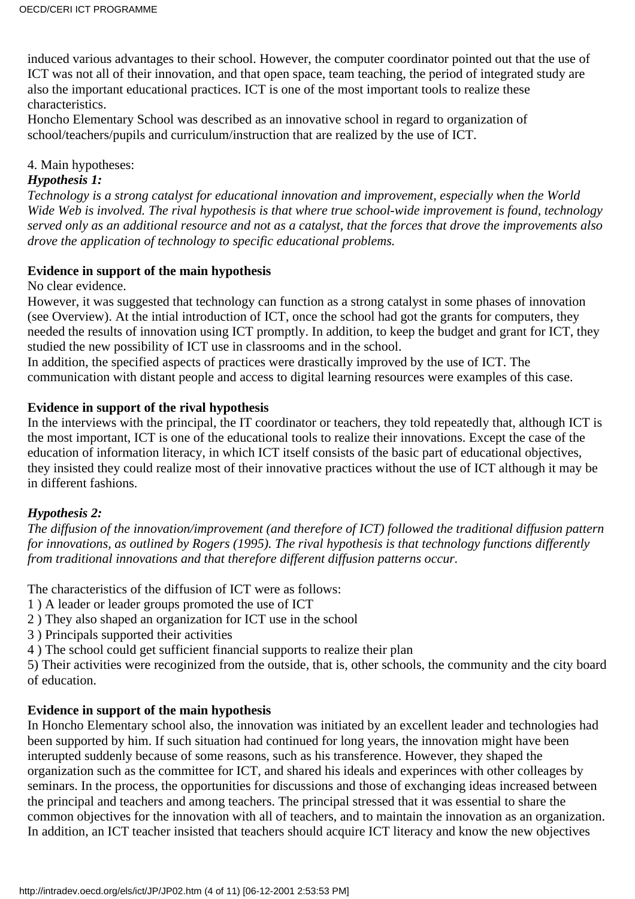induced various advantages to their school. However, the computer coordinator pointed out that the use of ICT was not all of their innovation, and that open space, team teaching, the period of integrated study are also the important educational practices. ICT is one of the most important tools to realize these characteristics.

Honcho Elementary School was described as an innovative school in regard to organization of school/teachers/pupils and curriculum/instruction that are realized by the use of ICT.

4. Main hypotheses:

#### *Hypothesis 1:*

*Technology is a strong catalyst for educational innovation and improvement, especially when the World Wide Web is involved. The rival hypothesis is that where true school-wide improvement is found, technology served only as an additional resource and not as a catalyst, that the forces that drove the improvements also drove the application of technology to specific educational problems.*

### **Evidence in support of the main hypothesis**

No clear evidence.

However, it was suggested that technology can function as a strong catalyst in some phases of innovation (see Overview). At the intial introduction of ICT, once the school had got the grants for computers, they needed the results of innovation using ICT promptly. In addition, to keep the budget and grant for ICT, they studied the new possibility of ICT use in classrooms and in the school.

In addition, the specified aspects of practices were drastically improved by the use of ICT. The communication with distant people and access to digital learning resources were examples of this case.

### **Evidence in support of the rival hypothesis**

In the interviews with the principal, the IT coordinator or teachers, they told repeatedly that, although ICT is the most important, ICT is one of the educational tools to realize their innovations. Except the case of the education of information literacy, in which ICT itself consists of the basic part of educational objectives, they insisted they could realize most of their innovative practices without the use of ICT although it may be in different fashions.

# *Hypothesis 2:*

*The diffusion of the innovation/improvement (and therefore of ICT) followed the traditional diffusion pattern for innovations, as outlined by Rogers (1995). The rival hypothesis is that technology functions differently from traditional innovations and that therefore different diffusion patterns occur.*

The characteristics of the diffusion of ICT were as follows:

- 1 ) A leader or leader groups promoted the use of ICT
- 2 ) They also shaped an organization for ICT use in the school
- 3 ) Principals supported their activities
- 4 ) The school could get sufficient financial supports to realize their plan

5) Their activities were recoginized from the outside, that is, other schools, the community and the city board of education.

# **Evidence in support of the main hypothesis**

In Honcho Elementary school also, the innovation was initiated by an excellent leader and technologies had been supported by him. If such situation had continued for long years, the innovation might have been interupted suddenly because of some reasons, such as his transference. However, they shaped the organization such as the committee for ICT, and shared his ideals and experinces with other colleages by seminars. In the process, the opportunities for discussions and those of exchanging ideas increased between the principal and teachers and among teachers. The principal stressed that it was essential to share the common objectives for the innovation with all of teachers, and to maintain the innovation as an organization. In addition, an ICT teacher insisted that teachers should acquire ICT literacy and know the new objectives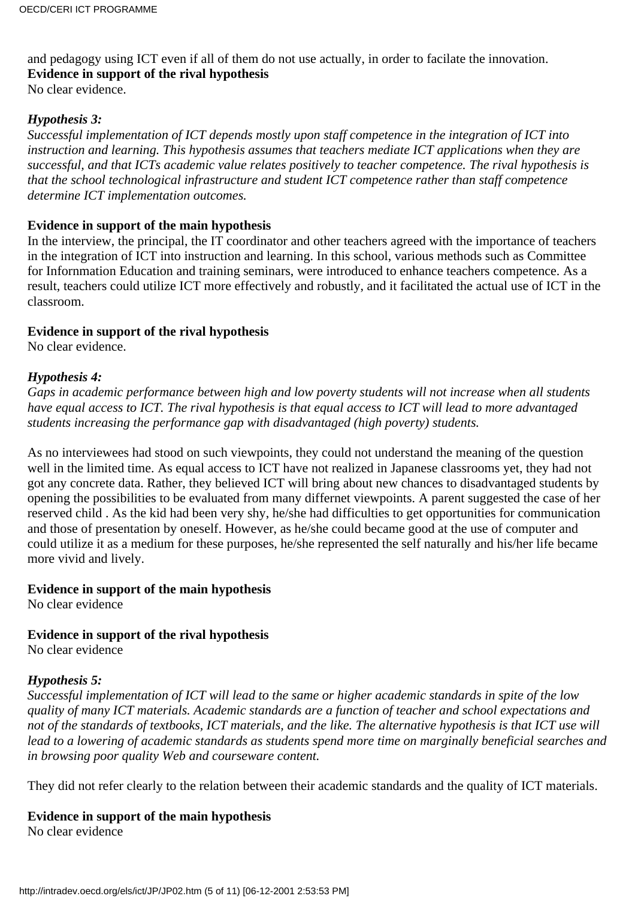and pedagogy using ICT even if all of them do not use actually, in order to facilate the innovation. **Evidence in support of the rival hypothesis**

No clear evidence.

### *Hypothesis 3:*

*Successful implementation of ICT depends mostly upon staff competence in the integration of ICT into instruction and learning. This hypothesis assumes that teachers mediate ICT applications when they are successful, and that ICTs academic value relates positively to teacher competence. The rival hypothesis is that the school technological infrastructure and student ICT competence rather than staff competence determine ICT implementation outcomes.*

#### **Evidence in support of the main hypothesis**

In the interview, the principal, the IT coordinator and other teachers agreed with the importance of teachers in the integration of ICT into instruction and learning. In this school, various methods such as Committee for Infornmation Education and training seminars, were introduced to enhance teachers competence. As a result, teachers could utilize ICT more effectively and robustly, and it facilitated the actual use of ICT in the classroom.

### **Evidence in support of the rival hypothesis**

No clear evidence.

### *Hypothesis 4:*

*Gaps in academic performance between high and low poverty students will not increase when all students have equal access to ICT. The rival hypothesis is that equal access to ICT will lead to more advantaged students increasing the performance gap with disadvantaged (high poverty) students.*

As no interviewees had stood on such viewpoints, they could not understand the meaning of the question well in the limited time. As equal access to ICT have not realized in Japanese classrooms yet, they had not got any concrete data. Rather, they believed ICT will bring about new chances to disadvantaged students by opening the possibilities to be evaluated from many differnet viewpoints. A parent suggested the case of her reserved child . As the kid had been very shy, he/she had difficulties to get opportunities for communication and those of presentation by oneself. However, as he/she could became good at the use of computer and could utilize it as a medium for these purposes, he/she represented the self naturally and his/her life became more vivid and lively.

#### **Evidence in support of the main hypothesis**

No clear evidence

# **Evidence in support of the rival hypothesis**

No clear evidence

# *Hypothesis 5:*

*Successful implementation of ICT will lead to the same or higher academic standards in spite of the low quality of many ICT materials. Academic standards are a function of teacher and school expectations and* not of the standards of textbooks, ICT materials, and the like. The alternative hypothesis is that ICT use will *lead to a lowering of academic standards as students spend more time on marginally beneficial searches and in browsing poor quality Web and courseware content.*

They did not refer clearly to the relation between their academic standards and the quality of ICT materials.

# **Evidence in support of the main hypothesis**

No clear evidence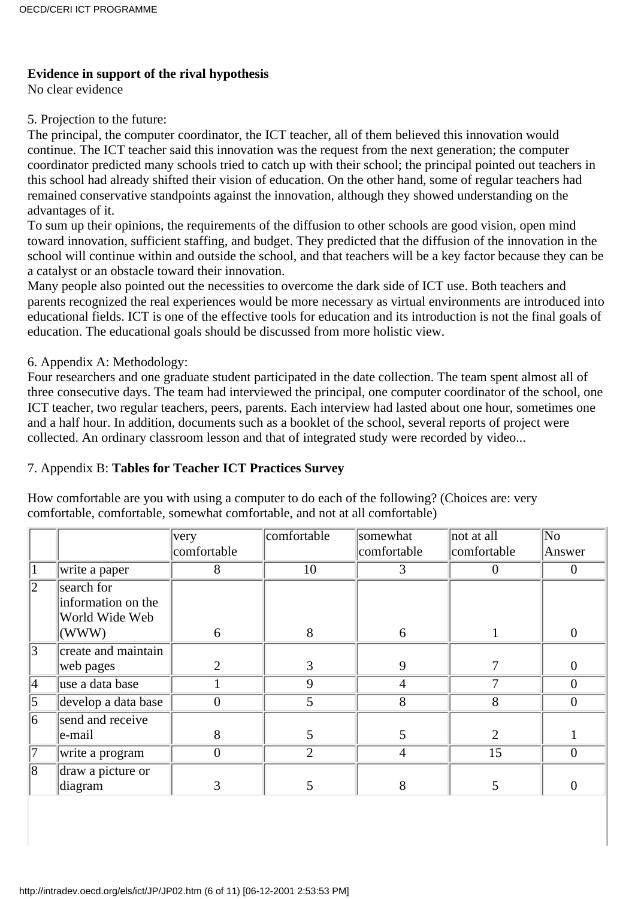#### **Evidence in support of the rival hypothesis**

No clear evidence

#### 5. Projection to the future:

The principal, the computer coordinator, the ICT teacher, all of them believed this innovation would continue. The ICT teacher said this innovation was the request from the next generation; the computer coordinator predicted many schools tried to catch up with their school; the principal pointed out teachers in this school had already shifted their vision of education. On the other hand, some of regular teachers had remained conservative standpoints against the innovation, although they showed understanding on the advantages of it.

To sum up their opinions, the requirements of the diffusion to other schools are good vision, open mind toward innovation, sufficient staffing, and budget. They predicted that the diffusion of the innovation in the school will continue within and outside the school, and that teachers will be a key factor because they can be a catalyst or an obstacle toward their innovation.

Many people also pointed out the necessities to overcome the dark side of ICT use. Both teachers and parents recognized the real experiences would be more necessary as virtual environments are introduced into educational fields. ICT is one of the effective tools for education and its introduction is not the final goals of education. The educational goals should be discussed from more holistic view.

#### 6. Appendix A: Methodology:

Four researchers and one graduate student participated in the date collection. The team spent almost all of three consecutive days. The team had interviewed the principal, one computer coordinator of the school, one ICT teacher, two regular teachers, peers, parents. Each interview had lasted about one hour, sometimes one and a half hour. In addition, documents such as a booklet of the school, several reports of project were collected. An ordinary classroom lesson and that of integrated study were recorded by video...

#### 7. Appendix B: **Tables for Teacher ICT Practices Survey**

How comfortable are you with using a computer to do each of the following? (Choices are: very comfortable, comfortable, somewhat comfortable, and not at all comfortable)

|                  |                     | very           | comfortable    | somewhat    | not at all  | $\overline{\text{No}}$ |
|------------------|---------------------|----------------|----------------|-------------|-------------|------------------------|
|                  |                     | comfortable    |                | comfortable | comfortable | Answer                 |
| $\mathbf 1$      | write a paper       | 8              | 10             | 3           |             | 0                      |
| $\overline{2}$   | search for          |                |                |             |             |                        |
|                  | information on the  |                |                |             |             |                        |
|                  | World Wide Web      |                |                |             |             |                        |
|                  | (WWW)               | 6              | 8              | 6           |             | $\theta$               |
| $\overline{3}$   | create and maintain |                |                |             |             |                        |
|                  | web pages           | $\overline{2}$ | 3              | 9           |             | 0                      |
| $\overline{4}$   | use a data base     |                | 9              | 4           | ┑           | $\theta$               |
| $\overline{5}$   | develop a data base | $\overline{0}$ | 5              | 8           | 8           | $\overline{0}$         |
| 6                | send and receive    |                |                |             |             |                        |
|                  | e-mail              | 8              | 5              | 5           | 2           |                        |
| $ \overline{7} $ | write a program     | $\overline{0}$ | $\overline{2}$ | 4           | 15          | $\overline{0}$         |
| 8                | draw a picture or   |                |                |             |             |                        |
|                  | diagram             | 3              | C              | 8           | 5           |                        |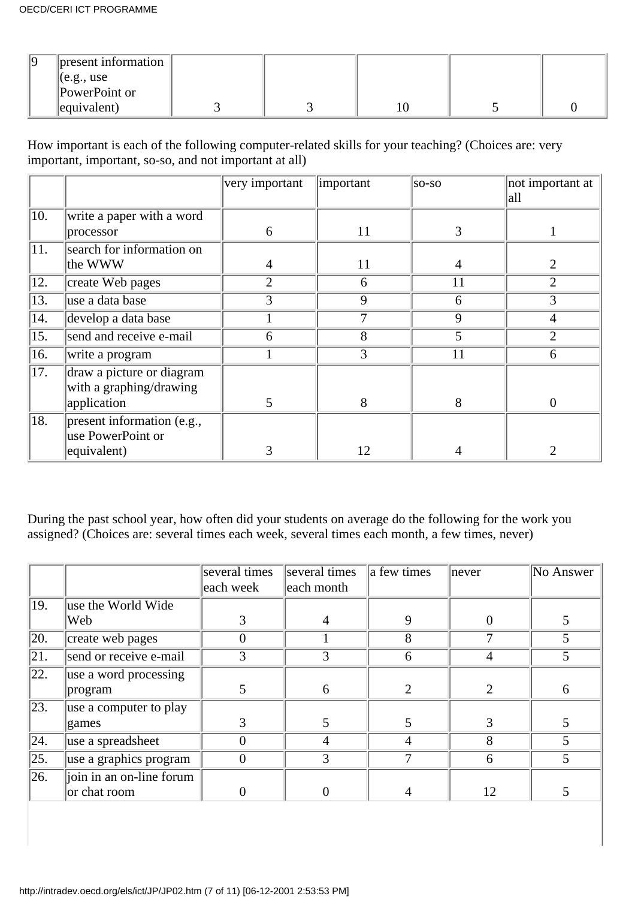| 10 | present information  |  |  |  |
|----|----------------------|--|--|--|
|    | (e.g., use           |  |  |  |
|    | PowerPoint or        |  |  |  |
|    | $\left $ equivalent) |  |  |  |

How important is each of the following computer-related skills for your teaching? (Choices are: very important, important, so-so, and not important at all)

|                   |                                | very important | important | $ SO-SO $ | not important at<br> all |
|-------------------|--------------------------------|----------------|-----------|-----------|--------------------------|
| $\overline{10}$ . | write a paper with a word      |                |           |           |                          |
|                   | processor                      | 6              | 11        | 3         |                          |
| $\overline{11}$ . | search for information on      |                |           |           |                          |
|                   | the WWW                        | 4              | 11        | 4         | 2                        |
| 12.               | create Web pages               | $\overline{2}$ | 6         | 11        | $\overline{2}$           |
| 13.               | use a data base                | 3              | 9         | 6         | 3                        |
| 14.               | develop a data base            |                | 7         | 9         | 4                        |
| $\overline{15}$ . | send and receive e-mail        | 6              | 8         | 5         | $\overline{2}$           |
| 16.               | write a program                |                | 3         | 11        | 6                        |
| $\overline{17}$ . | draw a picture or diagram      |                |           |           |                          |
|                   | with a graphing/drawing        |                |           |           |                          |
|                   | application                    | 5              | 8         | 8         | $\theta$                 |
| $\overline{18.}$  | $ present\ information$ (e.g., |                |           |           |                          |
|                   | use PowerPoint or              |                |           |           |                          |
|                   | equivalent)                    | 3              | 12        | 4         | 2                        |

During the past school year, how often did your students on average do the following for the work you assigned? (Choices are: several times each week, several times each month, a few times, never)

|                   |                          | several times<br>each week | several times<br>each month | a few times | never | No Answer |
|-------------------|--------------------------|----------------------------|-----------------------------|-------------|-------|-----------|
| 19.               | use the World Wide       |                            |                             |             |       |           |
|                   | Web                      | 3                          | $\overline{4}$              | 9           | 0     |           |
| 20.               | create web pages         |                            |                             | 8           |       |           |
| 21.               | send or receive e-mail   | 3                          | 3                           | 6           | 4     | 5         |
| $\sqrt{22}$ .     | use a word processing    |                            |                             |             |       |           |
|                   | program                  |                            | 6                           |             |       | 6         |
| $\sqrt{23}$ .     | use a computer to play   |                            |                             |             |       |           |
|                   | games                    |                            |                             |             |       |           |
| $\sqrt{24}$ .     | use a spreadsheet        |                            | 4                           | 4           | 8     | 5         |
| $\overline{25}$ . | use a graphics program   | 0                          | 3                           |             | 6     | 5         |
| $\overline{26}$ . | join in an on-line forum |                            |                             |             |       |           |
|                   | or chat room             |                            | $\theta$                    |             | 12    | 5         |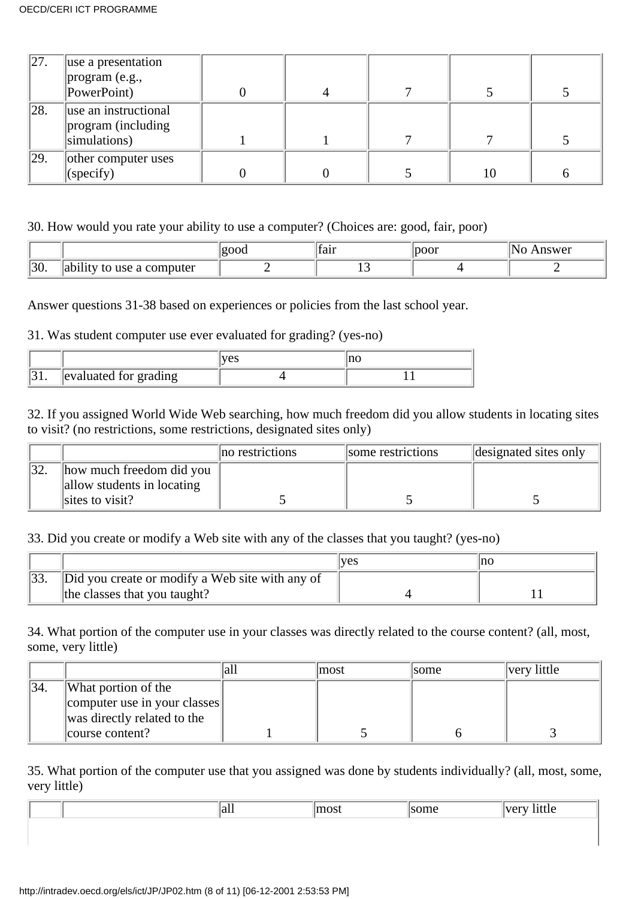| 27. | use a presentation   |  |    |  |
|-----|----------------------|--|----|--|
|     | $\ $ program (e.g.,  |  |    |  |
|     | PowerPoint)          |  |    |  |
| 28. | use an instructional |  |    |  |
|     | program (including   |  |    |  |
|     | simulations)         |  |    |  |
| 29. | other computer uses  |  |    |  |
|     | (specify)            |  | 10 |  |

30. How would you rate your ability to use a computer? (Choices are: good, fair, poor)

|     |                               | $\sim$ $\sim$ $\sim$<br>ιн | tair   | $\sim$ $\sim$ $\sim$ $\sim$ | nswer<br>N |
|-----|-------------------------------|----------------------------|--------|-----------------------------|------------|
| 30. | $\cdots$<br>computer<br>use a |                            | $\sim$ |                             |            |

Answer questions 31-38 based on experiences or policies from the last school year.

### 31. Was student computer use ever evaluated for grading? (yes-no)

|          |                       | $\sum$ |  |
|----------|-----------------------|--------|--|
| $\sim$ . | evaluated for grading |        |  |

32. If you assigned World Wide Web searching, how much freedom did you allow students in locating sites to visit? (no restrictions, some restrictions, designated sites only)

|                                                        | no restrictions | some restrictions | designated sites only |
|--------------------------------------------------------|-----------------|-------------------|-----------------------|
| how much freedom did you<br>allow students in locating |                 |                   |                       |
| sites to visit?                                        |                 |                   |                       |

33. Did you create or modify a Web site with any of the classes that you taught? (yes-no)

|                                                 | 'ves | Inc |
|-------------------------------------------------|------|-----|
| Did you create or modify a Web site with any of |      |     |
| the classes that you taught?                    |      |     |

34. What portion of the computer use in your classes was directly related to the course content? (all, most, some, very little)

|     |                              | lall | lmost | <i>some</i> | very little |
|-----|------------------------------|------|-------|-------------|-------------|
| 34. | What portion of the          |      |       |             |             |
|     | computer use in your classes |      |       |             |             |
|     | was directly related to the  |      |       |             |             |
|     | course content?              |      |       |             |             |

35. What portion of the computer use that you assigned was done by students individually? (all, most, some, very little)

|  | all |  | $- - - - - -$ |
|--|-----|--|---------------|
|  |     |  |               |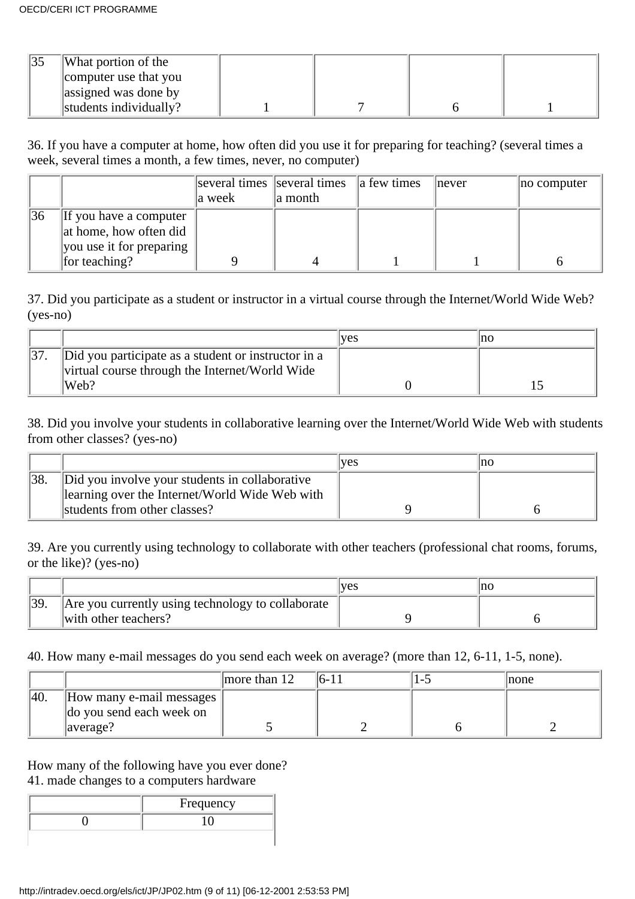| What portion of the    |  |  |
|------------------------|--|--|
| computer use that you  |  |  |
| assigned was done by   |  |  |
| students individually? |  |  |

36. If you have a computer at home, how often did you use it for preparing for teaching? (several times a week, several times a month, a few times, never, no computer)

|    |                                                                                                    | a week | several times several times $\ $ a few times<br>a month | never | no computer |
|----|----------------------------------------------------------------------------------------------------|--------|---------------------------------------------------------|-------|-------------|
| 36 | $\ $ If you have a computer<br>at home, how often did<br>you use it for preparing<br>for teaching? |        |                                                         |       |             |

37. Did you participate as a student or instructor in a virtual course through the Internet/World Wide Web? (yes-no)

|                                                                                                       | <b>ves</b> | nc |
|-------------------------------------------------------------------------------------------------------|------------|----|
| Did you participate as a student or instructor in a<br>virtual course through the Internet/World Wide |            |    |
| Web?                                                                                                  |            |    |

38. Did you involve your students in collaborative learning over the Internet/World Wide Web with students from other classes? (yes-no)

|                                                | <b>ves</b> | Ino |
|------------------------------------------------|------------|-----|
| Did you involve your students in collaborative |            |     |
| learning over the Internet/World Wide Web with |            |     |
| students from other classes?                   |            |     |

39. Are you currently using technology to collaborate with other teachers (professional chat rooms, forums, or the like)? (yes-no)

|     |                                                   | 'ves | Ino |
|-----|---------------------------------------------------|------|-----|
| 39. | Are you currently using technology to collaborate |      |     |
|     | with other teachers?                              |      |     |

40. How many e-mail messages do you send each week on average? (more than 12, 6-11, 1-5, none).

|     |                                                                              | more than $12$ |  | none |
|-----|------------------------------------------------------------------------------|----------------|--|------|
| 40. | $\parallel$ How many e-mail messages $\parallel$<br>do you send each week on |                |  |      |
|     | average?                                                                     |                |  |      |

How many of the following have you ever done? 41. made changes to a computer s hardware

| Frequency |
|-----------|
|           |
|           |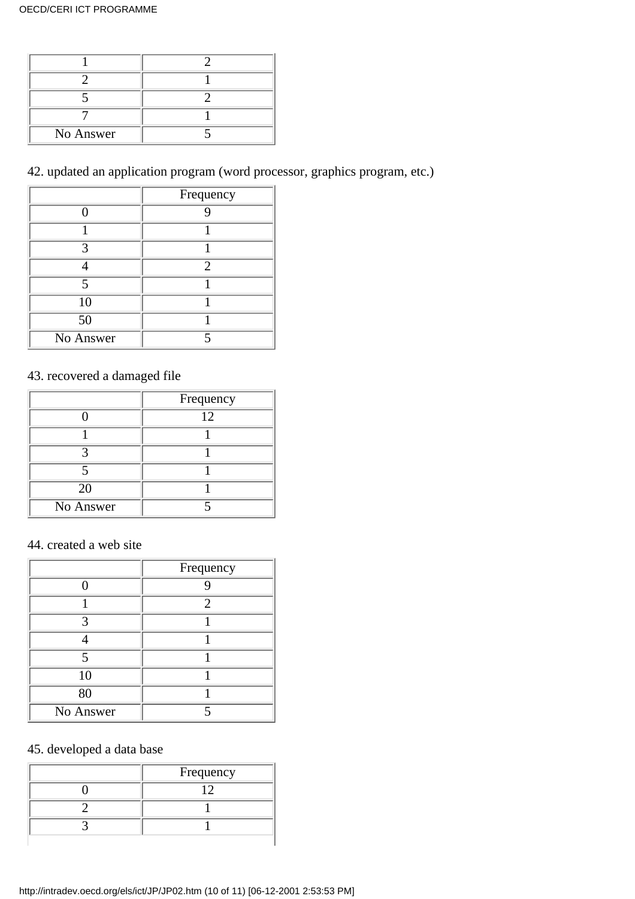| No Answer |  |
|-----------|--|

42. updated an application program (word processor, graphics program, etc.)

|             | Frequency      |
|-------------|----------------|
|             |                |
|             |                |
|             |                |
|             | $\mathfrak{D}$ |
| $\varsigma$ |                |
| 10          |                |
| 50          |                |
| No Answer   |                |

# 43. recovered a damaged file

|           | Frequency |
|-----------|-----------|
|           | 12        |
|           |           |
|           |           |
|           |           |
| 20        |           |
| No Answer |           |

#### 44. created a web site

|             | Frequency |
|-------------|-----------|
|             |           |
|             | 2         |
| っ           |           |
|             |           |
| $\varsigma$ |           |
| 10          |           |
| 80          |           |
| No Answer   |           |

# 45. developed a data base

| Frequency |
|-----------|
|           |
|           |
|           |
|           |